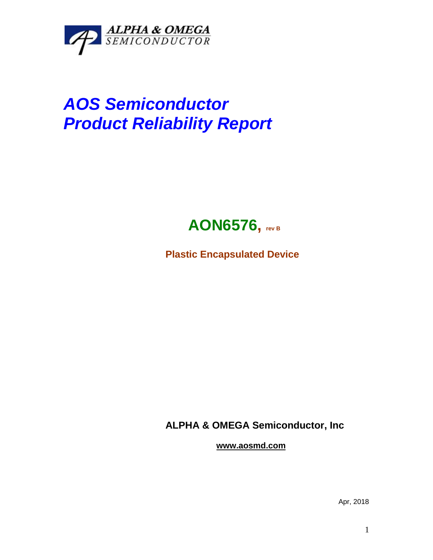

## *AOS Semiconductor Product Reliability Report*



**Plastic Encapsulated Device**

**ALPHA & OMEGA Semiconductor, Inc**

**www.aosmd.com**

Apr, 2018